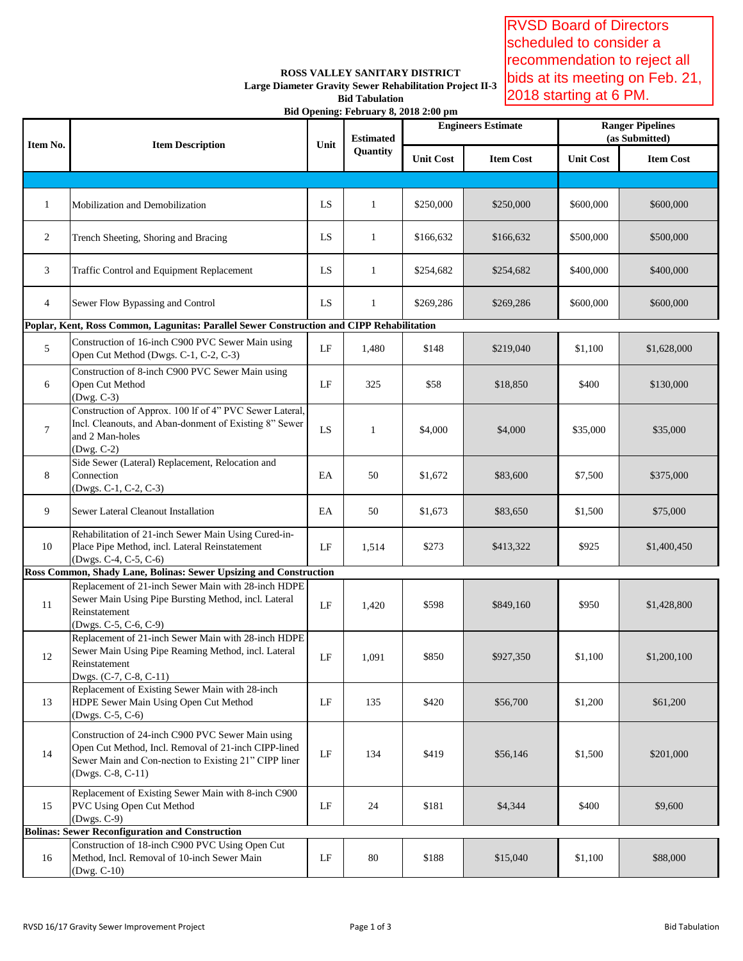RVSD Board of Directors scheduled to consider a recommendation to reject all bids at its meeting on Feb. 21, 2018 starting at 6 PM.

## **ROSS VALLEY SANITARY DISTRICT Large Diameter Gravity Sewer Rehabilitation Project II-3**

**Bid Tabulation**

| Bid Opening: February 8, 2018 2:00 pm                                                     |                                                                                                                                                                                         |      |                              |                           |                  |                                           |                  |  |  |
|-------------------------------------------------------------------------------------------|-----------------------------------------------------------------------------------------------------------------------------------------------------------------------------------------|------|------------------------------|---------------------------|------------------|-------------------------------------------|------------------|--|--|
| Item No.                                                                                  | <b>Item Description</b>                                                                                                                                                                 | Unit | <b>Estimated</b><br>Quantity | <b>Engineers Estimate</b> |                  | <b>Ranger Pipelines</b><br>(as Submitted) |                  |  |  |
|                                                                                           |                                                                                                                                                                                         |      |                              | <b>Unit Cost</b>          | <b>Item Cost</b> | <b>Unit Cost</b>                          | <b>Item Cost</b> |  |  |
|                                                                                           |                                                                                                                                                                                         |      |                              |                           |                  |                                           |                  |  |  |
| 1                                                                                         | Mobilization and Demobilization                                                                                                                                                         | LS   | 1                            | \$250,000                 | \$250,000        | \$600,000                                 | \$600,000        |  |  |
| 2                                                                                         | Trench Sheeting, Shoring and Bracing                                                                                                                                                    | LS   | $\mathbf{1}$                 | \$166,632                 | \$166,632        | \$500,000                                 | \$500,000        |  |  |
| 3                                                                                         | Traffic Control and Equipment Replacement                                                                                                                                               | LS   | $\mathbf{1}$                 | \$254,682                 | \$254,682        | \$400,000                                 | \$400,000        |  |  |
| $\overline{4}$                                                                            | Sewer Flow Bypassing and Control                                                                                                                                                        | LS   | 1                            | \$269,286                 | \$269,286        | \$600,000                                 | \$600,000        |  |  |
| Poplar, Kent, Ross Common, Lagunitas: Parallel Sewer Construction and CIPP Rehabilitation |                                                                                                                                                                                         |      |                              |                           |                  |                                           |                  |  |  |
| 5                                                                                         | Construction of 16-inch C900 PVC Sewer Main using<br>Open Cut Method (Dwgs. C-1, C-2, C-3)                                                                                              | LF   | 1,480                        | \$148                     | \$219,040        | \$1,100                                   | \$1,628,000      |  |  |
| 6                                                                                         | Construction of 8-inch C900 PVC Sewer Main using<br>Open Cut Method<br>(Dwg. C-3)                                                                                                       | LF   | 325                          | \$58                      | \$18,850         | \$400                                     | \$130,000        |  |  |
| $\tau$                                                                                    | Construction of Approx. 100 lf of 4" PVC Sewer Lateral,<br>Incl. Cleanouts, and Aban-donment of Existing 8" Sewer<br>and 2 Man-holes<br>(Dwg. C-2)                                      | LS   | 1                            | \$4,000                   | \$4,000          | \$35,000                                  | \$35,000         |  |  |
| 8                                                                                         | Side Sewer (Lateral) Replacement, Relocation and<br>Connection<br>(Dwgs. C-1, C-2, C-3)                                                                                                 | EA   | 50                           | \$1,672                   | \$83,600         | \$7,500                                   | \$375,000        |  |  |
| 9                                                                                         | Sewer Lateral Cleanout Installation                                                                                                                                                     | EA   | 50                           | \$1,673                   | \$83,650         | \$1,500                                   | \$75,000         |  |  |
| 10                                                                                        | Rehabilitation of 21-inch Sewer Main Using Cured-in-<br>Place Pipe Method, incl. Lateral Reinstatement<br>(Dwgs. C-4, C-5, C-6)                                                         | LF   | 1,514                        | \$273                     | \$413,322        | \$925                                     | \$1,400,450      |  |  |
| Ross Common, Shady Lane, Bolinas: Sewer Upsizing and Construction                         |                                                                                                                                                                                         |      |                              |                           |                  |                                           |                  |  |  |
| 11                                                                                        | Replacement of 21-inch Sewer Main with 28-inch HDPE<br>Sewer Main Using Pipe Bursting Method, incl. Lateral<br>Reinstatement<br>(Dwgs. C-5, C-6, C-9)                                   | LF   | 1,420                        | \$598                     | \$849,160        | \$950                                     | \$1,428,800      |  |  |
| 12                                                                                        | Replacement of 21-inch Sewer Main with 28-inch HDPE<br>Sewer Main Using Pipe Reaming Method, incl. Lateral<br>Reinstatement<br>Dwgs. (C-7, C-8, C-11)                                   | LF   | 1,091                        | \$850                     | \$927,350        | \$1,100                                   | \$1,200,100      |  |  |
| 13                                                                                        | Replacement of Existing Sewer Main with 28-inch<br>HDPE Sewer Main Using Open Cut Method<br>(Dwgs. C-5, C-6)                                                                            | LF   | 135                          | \$420                     | \$56,700         | \$1,200                                   | \$61,200         |  |  |
| 14                                                                                        | Construction of 24-inch C900 PVC Sewer Main using<br>Open Cut Method, Incl. Removal of 21-inch CIPP-lined<br>Sewer Main and Con-nection to Existing 21" CIPP liner<br>(Dwgs. C-8, C-11) | LF   | 134                          | \$419                     | \$56,146         | \$1,500                                   | \$201,000        |  |  |
| 15                                                                                        | Replacement of Existing Sewer Main with 8-inch C900<br>PVC Using Open Cut Method<br>(Dwgs. C-9)                                                                                         | LF   | 24                           | \$181                     | \$4,344          | \$400                                     | \$9,600          |  |  |
|                                                                                           | <b>Bolinas: Sewer Reconfiguration and Construction</b>                                                                                                                                  |      |                              |                           |                  |                                           |                  |  |  |
| 16                                                                                        | Construction of 18-inch C900 PVC Using Open Cut<br>Method, Incl. Removal of 10-inch Sewer Main<br>$(Dwg. C-10)$                                                                         | LF   | 80                           | \$188                     | \$15,040         | \$1,100                                   | \$88,000         |  |  |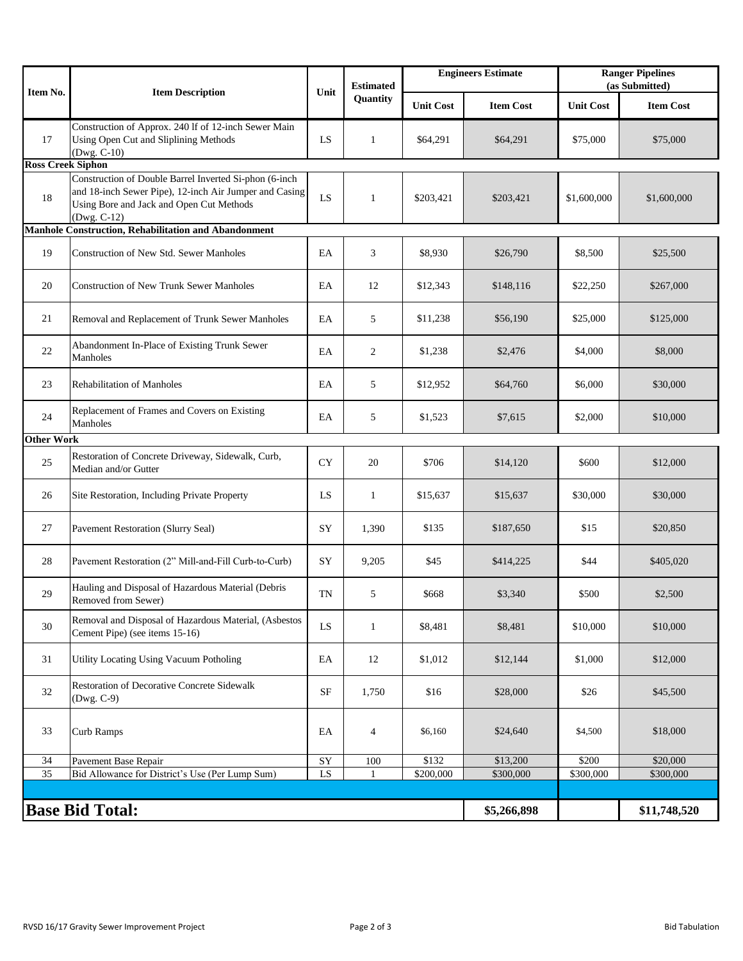| Item No.                                                                           | <b>Item Description</b>                                                                                           | Unit            | <b>Estimated</b><br><b>Ouantity</b> | <b>Engineers Estimate</b> |                  | <b>Ranger Pipelines</b><br>(as Submitted) |                  |  |
|------------------------------------------------------------------------------------|-------------------------------------------------------------------------------------------------------------------|-----------------|-------------------------------------|---------------------------|------------------|-------------------------------------------|------------------|--|
|                                                                                    |                                                                                                                   |                 |                                     | <b>Unit Cost</b>          | <b>Item Cost</b> | <b>Unit Cost</b>                          | <b>Item Cost</b> |  |
| 17                                                                                 | Construction of Approx. 240 lf of 12-inch Sewer Main<br>Using Open Cut and Sliplining Methods<br>(Dwg. C-10)      | LS              | $\mathbf{1}$                        | \$64,291                  | \$64,291         | \$75,000                                  | \$75,000         |  |
| <b>Ross Creek Siphon</b><br>Construction of Double Barrel Inverted Si-phon (6-inch |                                                                                                                   |                 |                                     |                           |                  |                                           |                  |  |
| 18                                                                                 | and 18-inch Sewer Pipe), 12-inch Air Jumper and Casing<br>Using Bore and Jack and Open Cut Methods<br>(Dwg. C-12) | LS              | $\mathbf{1}$                        | \$203,421                 | \$203,421        | \$1,600,000                               | \$1,600,000      |  |
| Manhole Construction, Rehabilitation and Abandonment                               |                                                                                                                   |                 |                                     |                           |                  |                                           |                  |  |
| 19                                                                                 | <b>Construction of New Std. Sewer Manholes</b>                                                                    | EA              | 3                                   | \$8,930                   | \$26,790         | \$8,500                                   | \$25,500         |  |
| 20                                                                                 | <b>Construction of New Trunk Sewer Manholes</b>                                                                   | EA              | 12                                  | \$12,343                  | \$148,116        | \$22,250                                  | \$267,000        |  |
| 21                                                                                 | Removal and Replacement of Trunk Sewer Manholes                                                                   | EA              | 5                                   | \$11,238                  | \$56,190         | \$25,000                                  | \$125,000        |  |
| 22                                                                                 | Abandonment In-Place of Existing Trunk Sewer<br>Manholes                                                          | EA              | 2                                   | \$1,238                   | \$2,476          | \$4,000                                   | \$8,000          |  |
| 23                                                                                 | <b>Rehabilitation of Manholes</b>                                                                                 | EA              | 5                                   | \$12,952                  | \$64,760         | \$6,000                                   | \$30,000         |  |
| 24                                                                                 | Replacement of Frames and Covers on Existing<br>Manholes                                                          | EA              | 5                                   | \$1,523                   | \$7,615          | \$2,000                                   | \$10,000         |  |
| <b>Other Work</b>                                                                  |                                                                                                                   |                 |                                     |                           |                  |                                           |                  |  |
| 25                                                                                 | Restoration of Concrete Driveway, Sidewalk, Curb,<br>Median and/or Gutter                                         | <b>CY</b>       | 20                                  | \$706                     | \$14,120         | \$600                                     | \$12,000         |  |
| 26                                                                                 | Site Restoration, Including Private Property                                                                      | LS              | 1                                   | \$15,637                  | \$15,637         | \$30,000                                  | \$30,000         |  |
| 27                                                                                 | Pavement Restoration (Slurry Seal)                                                                                | SY              | 1,390                               | \$135                     | \$187,650        | \$15                                      | \$20,850         |  |
| 28                                                                                 | Pavement Restoration (2" Mill-and-Fill Curb-to-Curb)                                                              | SY              | 9,205                               | \$45                      | \$414,225        | \$44                                      | \$405,020        |  |
| 29                                                                                 | Hauling and Disposal of Hazardous Material (Debris<br>Removed from Sewer)                                         | TN              | 5                                   | \$668                     | \$3,340          | \$500                                     | \$2,500          |  |
| 30                                                                                 | Removal and Disposal of Hazardous Material, (Asbestos<br>Cement Pipe) (see items 15-16)                           | LS              | $\mathbf{1}$                        | \$8,481                   | \$8,481          | \$10,000                                  | \$10,000         |  |
| 31                                                                                 | Utility Locating Using Vacuum Potholing                                                                           | EA              | 12                                  | \$1,012                   | \$12,144         | \$1,000                                   | \$12,000         |  |
| 32                                                                                 | <b>Restoration of Decorative Concrete Sidewalk</b><br>(Dwg. C-9)                                                  | $\rm{SF}$       | 1,750                               | \$16                      | \$28,000         | \$26                                      | \$45,500         |  |
| 33                                                                                 | Curb Ramps                                                                                                        | EA              | 4                                   | \$6,160                   | \$24,640         | \$4,500                                   | \$18,000         |  |
| $34\,$                                                                             | Pavement Base Repair                                                                                              | $\overline{SY}$ | 100                                 | \$132                     | \$13,200         | \$200                                     | \$20,000         |  |
| 35                                                                                 | Bid Allowance for District's Use (Per Lump Sum)                                                                   | LS              | $\mathbf{1}$                        | \$200,000                 | \$300,000        | \$300,000                                 | \$300,000        |  |
|                                                                                    |                                                                                                                   |                 |                                     |                           |                  |                                           |                  |  |
| <b>Base Bid Total:</b>                                                             |                                                                                                                   |                 |                                     |                           | \$5,266,898      |                                           | \$11,748,520     |  |